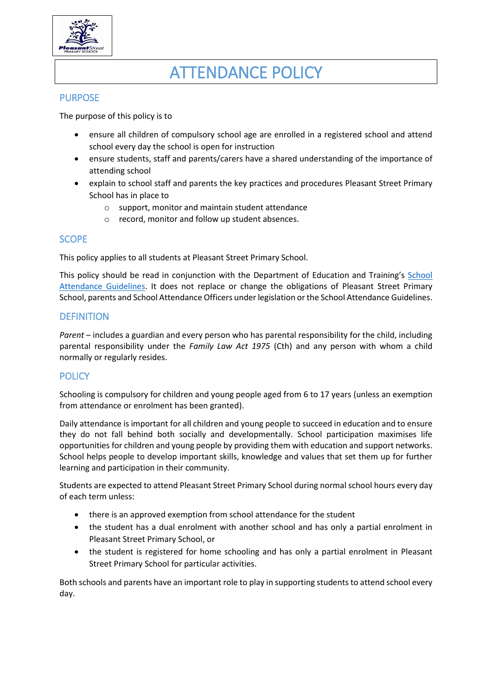

# ATTENDANCE POLICY

## PURPOSE

The purpose of this policy is to

- ensure all children of compulsory school age are enrolled in a registered school and attend school every day the school is open for instruction
- ensure students, staff and parents/carers have a shared understanding of the importance of attending school
- explain to school staff and parents the key practices and procedures Pleasant Street Primary School has in place to
	- o support, monitor and maintain student attendance
	- o record, monitor and follow up student absences.

# **SCOPE**

This policy applies to all students at Pleasant Street Primary School.

This policy should be read in conjunction with the Department of Education and Training's [School](http://www.education.vic.gov.au/school/teachers/studentmanagement/Pages/attendance.aspx)  [Attendance Guidelines.](http://www.education.vic.gov.au/school/teachers/studentmanagement/Pages/attendance.aspx) It does not replace or change the obligations of Pleasant Street Primary School, parents and School Attendance Officers under legislation or the School Attendance Guidelines.

## **DEFINITION**

*Parent* – includes a guardian and every person who has parental responsibility for the child, including parental responsibility under the *Family Law Act 1975* (Cth) and any person with whom a child normally or regularly resides.

# **POLICY**

Schooling is compulsory for children and young people aged from 6 to 17 years (unless an exemption from attendance or enrolment has been granted).

Daily attendance is important for all children and young people to succeed in education and to ensure they do not fall behind both socially and developmentally. School participation maximises life opportunities for children and young people by providing them with education and support networks. School helps people to develop important skills, knowledge and values that set them up for further learning and participation in their community.

Students are expected to attend Pleasant Street Primary School during normal school hours every day of each term unless:

- there is an approved exemption from school attendance for the student
- the student has a dual enrolment with another school and has only a partial enrolment in Pleasant Street Primary School, or
- the student is registered for home schooling and has only a partial enrolment in Pleasant Street Primary School for particular activities.

Both schools and parents have an important role to play in supporting students to attend school every day.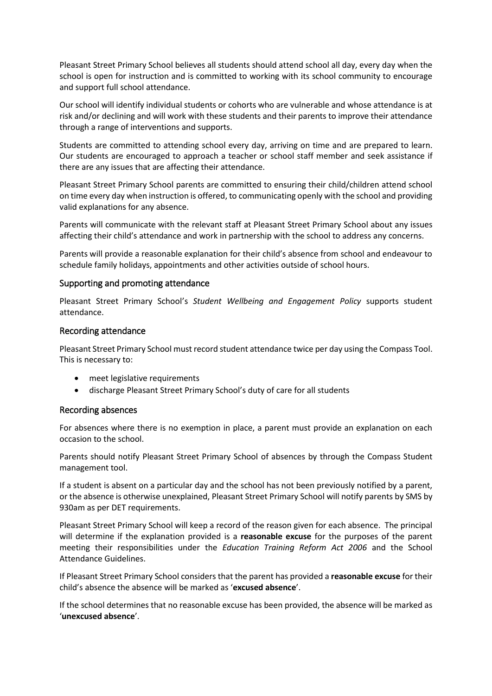Pleasant Street Primary School believes all students should attend school all day, every day when the school is open for instruction and is committed to working with its school community to encourage and support full school attendance.

Our school will identify individual students or cohorts who are vulnerable and whose attendance is at risk and/or declining and will work with these students and their parents to improve their attendance through a range of interventions and supports.

Students are committed to attending school every day, arriving on time and are prepared to learn. Our students are encouraged to approach a teacher or school staff member and seek assistance if there are any issues that are affecting their attendance.

Pleasant Street Primary School parents are committed to ensuring their child/children attend school on time every day when instruction is offered, to communicating openly with the school and providing valid explanations for any absence.

Parents will communicate with the relevant staff at Pleasant Street Primary School about any issues affecting their child's attendance and work in partnership with the school to address any concerns.

Parents will provide a reasonable explanation for their child's absence from school and endeavour to schedule family holidays, appointments and other activities outside of school hours.

#### Supporting and promoting attendance

Pleasant Street Primary School's *Student Wellbeing and Engagement Policy* supports student attendance.

#### Recording attendance

Pleasant Street Primary School must record student attendance twice per day using the Compass Tool. This is necessary to:

- meet legislative requirements
- discharge Pleasant Street Primary School's duty of care for all students

#### Recording absences

For absences where there is no exemption in place, a parent must provide an explanation on each occasion to the school.

Parents should notify Pleasant Street Primary School of absences by through the Compass Student management tool.

If a student is absent on a particular day and the school has not been previously notified by a parent, or the absence is otherwise unexplained, Pleasant Street Primary School will notify parents by SMS by 930am as per DET requirements.

Pleasant Street Primary School will keep a record of the reason given for each absence. The principal will determine if the explanation provided is a **reasonable excuse** for the purposes of the parent meeting their responsibilities under the *Education Training Reform Act 2006* and the School Attendance Guidelines.

If Pleasant Street Primary School considers that the parent has provided a **reasonable excuse** for their child's absence the absence will be marked as '**excused absence**'.

If the school determines that no reasonable excuse has been provided, the absence will be marked as '**unexcused absence**'.